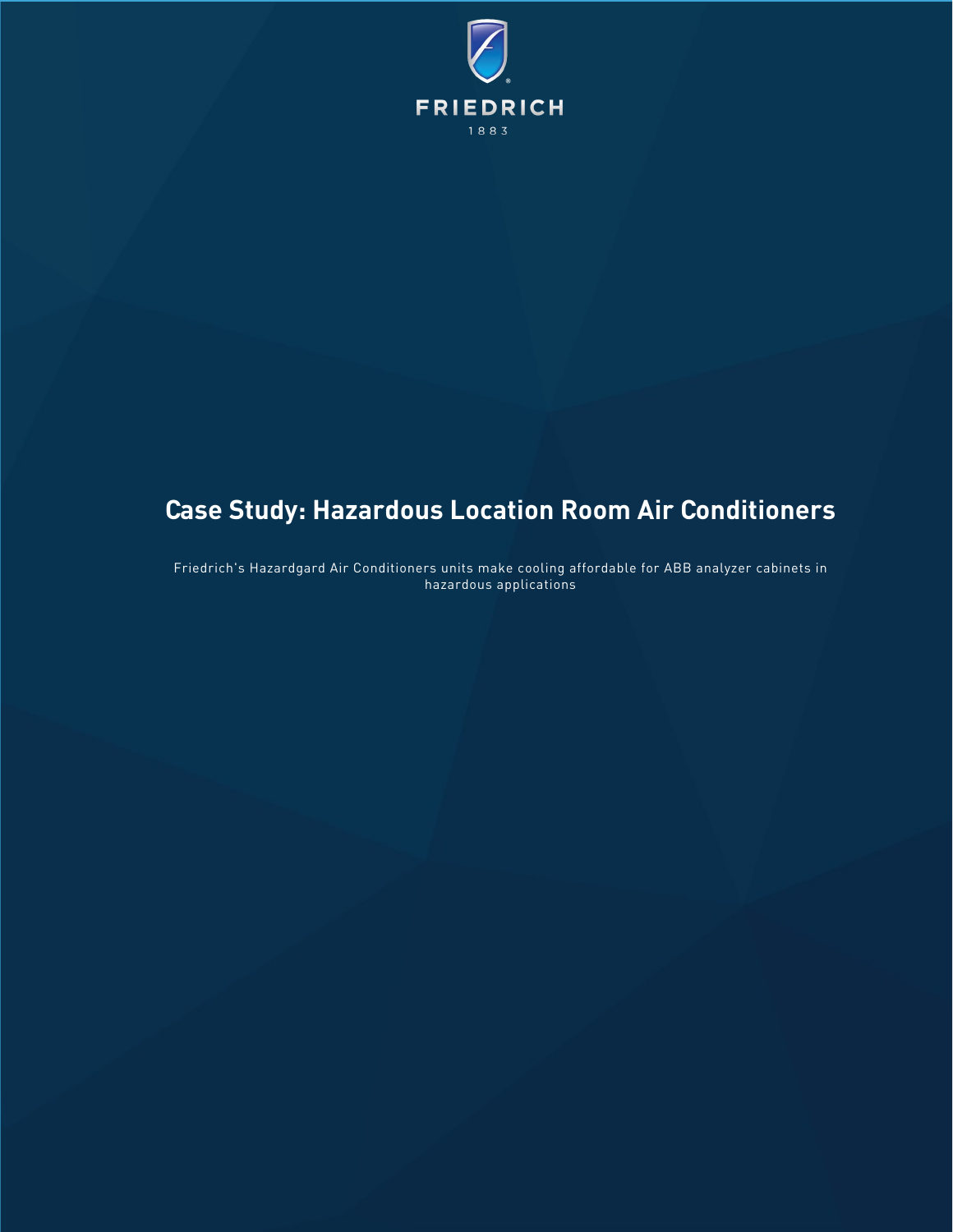

# **Case Study: Hazardous Location Room Air Conditioners**

Friedrich's Hazardgard Air Conditioners units make cooling affordable for ABB analyzer cabinets in hazardous applications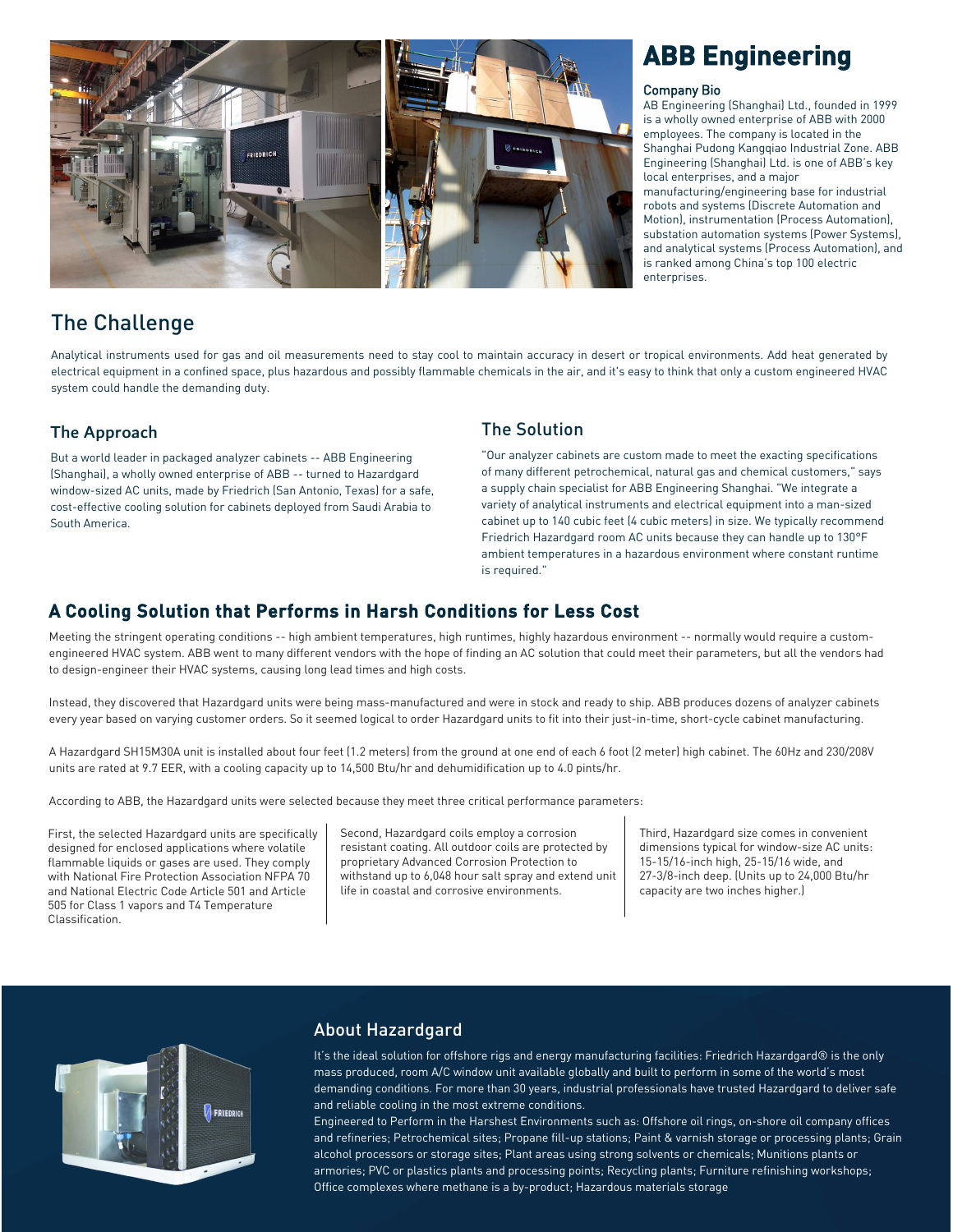

# The Challenge

Analytical instruments used for gas and oil measurements need to stay cool to maintain accuracy in desert or tropical environments. Add heat generated by electrical equipment in a confined space, plus hazardous and possibly flammable chemicals in the air, and it's easy to think that only a custom engineered HVAC system could handle the demanding duty.

# The Approach

But a world leader in packaged analyzer cabinets -- ABB Engineering (Shanghai), a wholly owned enterprise of ABB -- turned to Hazardgard window-sized AC units, made by Friedrich (San Antonio, Texas) for a safe, cost-effective cooling solution for cabinets deployed from Saudi Arabia to South America.

### The Solution

"Our analyzer cabinets are custom made to meet the exacting specifications of many different petrochemical, natural gas and chemical customers," says a supply chain specialist for ABB Engineering Shanghai. "We integrate a variety of analytical instruments and electrical equipment into a man-sized cabinet up to 140 cubic feet (4 cubic meters) in size. We typically recommend Friedrich Hazardgard room AC units because they can handle up to 130°F ambient temperatures in a hazardous environment where constant runtime is required."

# A Cooling Solution that Performs in Harsh Conditions for Less Cost

Meeting the stringent operating conditions -- high ambient temperatures, high runtimes, highly hazardous environment -- normally would require a customengineered HVAC system. ABB went to many different vendors with the hope of finding an AC solution that could meet their parameters, but all the vendors had to design-engineer their HVAC systems, causing long lead times and high costs.

Instead, they discovered that Hazardgard units were being mass-manufactured and were in stock and ready to ship. ABB produces dozens of analyzer cabinets every year based on varying customer orders. So it seemed logical to order Hazardgard units to fit into their just-in-time, short-cycle cabinet manufacturing.

A Hazardgard SH15M30A unit is installed about four feet (1.2 meters) from the ground at one end of each 6 foot (2 meter) high cabinet. The 60Hz and 230/208V units are rated at 9.7 EER, with a cooling capacity up to 14,500 Btu/hr and dehumidification up to 4.0 pints/hr.

According to ABB, the Hazardgard units were selected because they meet three critical performance parameters:

First, the selected Hazardgard units are specifically designed for enclosed applications where volatile flammable liquids or gases are used. They comply with National Fire Protection Association NFPA 70 and National Electric Code Article 501 and Article 505 for Class 1 vapors and T4 Temperature Classification.

Second, Hazardgard coils employ a corrosion resistant coating. All outdoor coils are protected by proprietary Advanced Corrosion Protection to withstand up to 6,048 hour salt spray and extend unit life in coastal and corrosive environments.

Third, Hazardgard size comes in convenient dimensions typical for window-size AC units: 15-15/16-inch high, 25-15/16 wide, and 27-3/8-inch deep. (Units up to 24,000 Btu/hr capacity are two inches higher.)



# About Hazardgard

It's the ideal solution for offshore rigs and energy manufacturing facilities: Friedrich Hazardgard® is the only mass produced, room A/C window unit available globally and built to perform in some of the world's most demanding conditions. For more than 30 years, industrial professionals have trusted Hazardgard to deliver safe and reliable cooling in the most extreme conditions.

Engineered to Perform in the Harshest Environments such as: Offshore oil rings, on-shore oil company offices and refineries; Petrochemical sites; Propane fill-up stations; Paint & varnish storage or processing plants; Grain alcohol processors or storage sites; Plant areas using strong solvents or chemicals; Munitions plants or armories; PVC or plastics plants and processing points; Recycling plants; Furniture refinishing workshops; Office complexes where methane is a by-product; Hazardous materials storage

# **ABB Engineering**

#### Company Bio

AB Engineering (Shanghai) Ltd., founded in 1999 is a wholly owned enterprise of ABB with 2000 employees. The company is located in the Shanghai Pudong Kangqiao Industrial Zone. ABB Engineering (Shanghai) Ltd. is one of ABB's key local enterprises, and a major

manufacturing/engineering base for industrial robots and systems (Discrete Automation and Motion), instrumentation (Process Automation), substation automation systems (Power Systems), and analytical systems (Process Automation), and is ranked among China's top 100 electric enterprises.